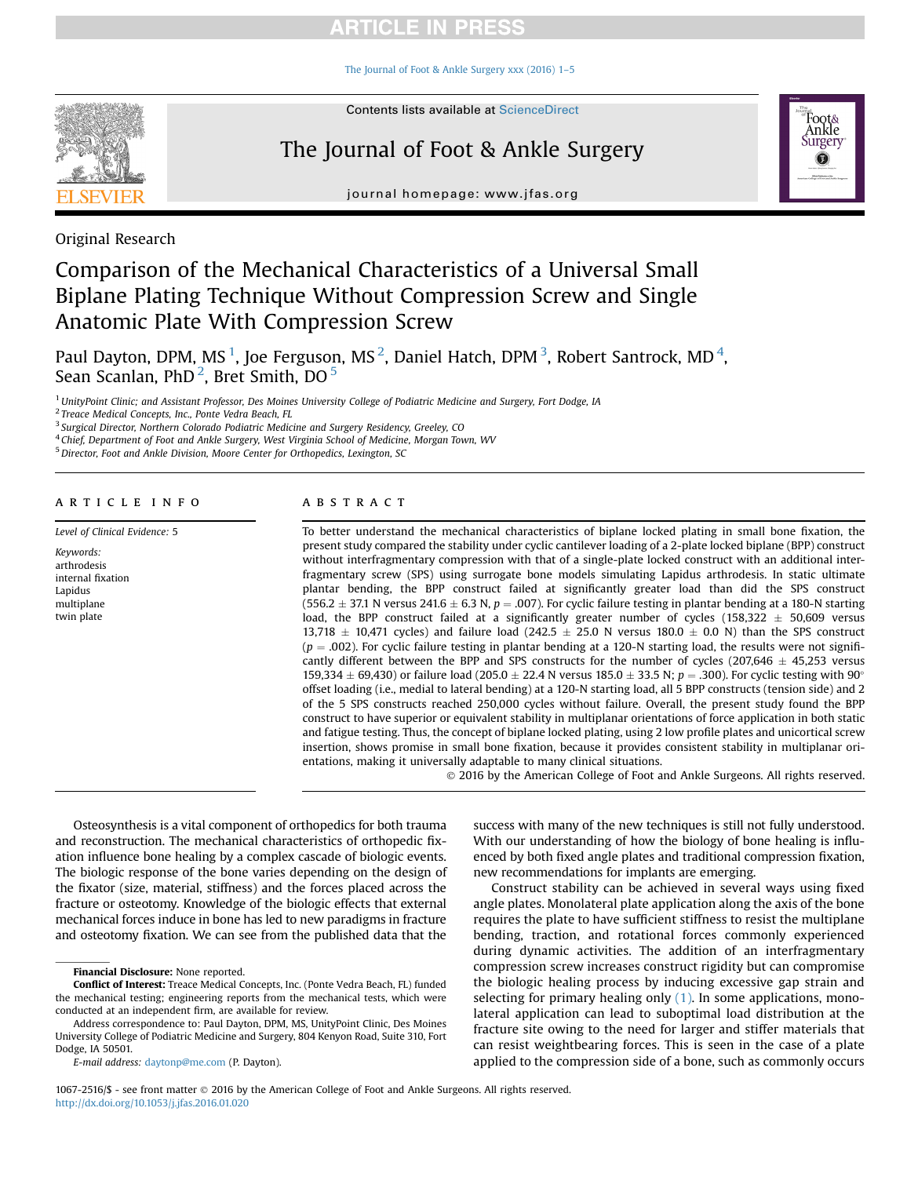# **RTICLE IN PRESS**

[The Journal of Foot & Ankle Surgery xxx \(2016\) 1](http://dx.doi.org/10.1053/j.jfas.2016.01.020)–5



**Contents lists available at ScienceDirect** 

# The Journal of Foot & Ankle Surgery



journal homepage: [www.jfas.org](http://www.jfas.org)

Original Research

# Comparison of the Mechanical Characteristics of a Universal Small Biplane Plating Technique Without Compression Screw and Single Anatomic Plate With Compression Screw

Paul Dayton, DPM, MS  $^1$ , Joe Ferguson, MS  $^2$ , Daniel Hatch, DPM  $^3$ , Robert Santrock, MD  $^4$ , Sean Scanlan, PhD<sup>2</sup>, Bret Smith, DO<sup>5</sup>

<sup>1</sup> UnityPoint Clinic; and Assistant Professor, Des Moines University College of Podiatric Medicine and Surgery, Fort Dodge, IA

<sup>2</sup> Treace Medical Concepts, Inc., Ponte Vedra Beach, FL

<sup>3</sup> Surgical Director, Northern Colorado Podiatric Medicine and Surgery Residency, Greeley, CO

<sup>4</sup> Chief, Department of Foot and Ankle Surgery, West Virginia School of Medicine, Morgan Town, WV

<sup>5</sup> Director, Foot and Ankle Division, Moore Center for Orthopedics, Lexington, SC

#### article info

Level of Clinical Evidence: 5

Keywords: arthrodesis internal fixation Lapidus multiplane twin plate

#### **ABSTRACT**

To better understand the mechanical characteristics of biplane locked plating in small bone fixation, the present study compared the stability under cyclic cantilever loading of a 2-plate locked biplane (BPP) construct without interfragmentary compression with that of a single-plate locked construct with an additional interfragmentary screw (SPS) using surrogate bone models simulating Lapidus arthrodesis. In static ultimate plantar bending, the BPP construct failed at significantly greater load than did the SPS construct (556.2  $\pm$  37.1 N versus 241.6  $\pm$  6.3 N, p = .007). For cyclic failure testing in plantar bending at a 180-N starting load, the BPP construct failed at a significantly greater number of cycles (158,322  $\pm$  50,609 versus 13,718  $\pm$  10,471 cycles) and failure load (242.5  $\pm$  25.0 N versus 180.0  $\pm$  0.0 N) than the SPS construct  $(p = .002)$ . For cyclic failure testing in plantar bending at a 120-N starting load, the results were not significantly different between the BPP and SPS constructs for the number of cycles (207,646  $\pm$  45,253 versus 159,334  $\pm$  69,430) or failure load (205.0  $\pm$  22.4 N versus 185.0  $\pm$  33.5 N; p = .300). For cyclic testing with 90° offset loading (i.e., medial to lateral bending) at a 120-N starting load, all 5 BPP constructs (tension side) and 2 of the 5 SPS constructs reached 250,000 cycles without failure. Overall, the present study found the BPP construct to have superior or equivalent stability in multiplanar orientations of force application in both static and fatigue testing. Thus, the concept of biplane locked plating, using 2 low profile plates and unicortical screw insertion, shows promise in small bone fixation, because it provides consistent stability in multiplanar orientations, making it universally adaptable to many clinical situations.

2016 by the American College of Foot and Ankle Surgeons. All rights reserved.

Osteosynthesis is a vital component of orthopedics for both trauma and reconstruction. The mechanical characteristics of orthopedic fixation influence bone healing by a complex cascade of biologic events. The biologic response of the bone varies depending on the design of the fixator (size, material, stiffness) and the forces placed across the fracture or osteotomy. Knowledge of the biologic effects that external mechanical forces induce in bone has led to new paradigms in fracture and osteotomy fixation. We can see from the published data that the

Address correspondence to: Paul Dayton, DPM, MS, UnityPoint Clinic, Des Moines University College of Podiatric Medicine and Surgery, 804 Kenyon Road, Suite 310, Fort Dodge, IA 50501.

E-mail address: [daytonp@me.com](mailto:daytonp@me.com) (P. Dayton).

success with many of the new techniques is still not fully understood. With our understanding of how the biology of bone healing is influenced by both fixed angle plates and traditional compression fixation, new recommendations for implants are emerging.

Construct stability can be achieved in several ways using fixed angle plates. Monolateral plate application along the axis of the bone requires the plate to have sufficient stiffness to resist the multiplane bending, traction, and rotational forces commonly experienced during dynamic activities. The addition of an interfragmentary compression screw increases construct rigidity but can compromise the biologic healing process by inducing excessive gap strain and selecting for primary healing only  $(1)$ . In some applications, monolateral application can lead to suboptimal load distribution at the fracture site owing to the need for larger and stiffer materials that can resist weightbearing forces. This is seen in the case of a plate applied to the compression side of a bone, such as commonly occurs

1067-2516/\$ - see front matter  $\circ$  2016 by the American College of Foot and Ankle Surgeons. All rights reserved. <http://dx.doi.org/10.1053/j.jfas.2016.01.020>

Financial Disclosure: None reported.

Conflict of Interest: Treace Medical Concepts, Inc. (Ponte Vedra Beach, FL) funded the mechanical testing; engineering reports from the mechanical tests, which were conducted at an independent firm, are available for review.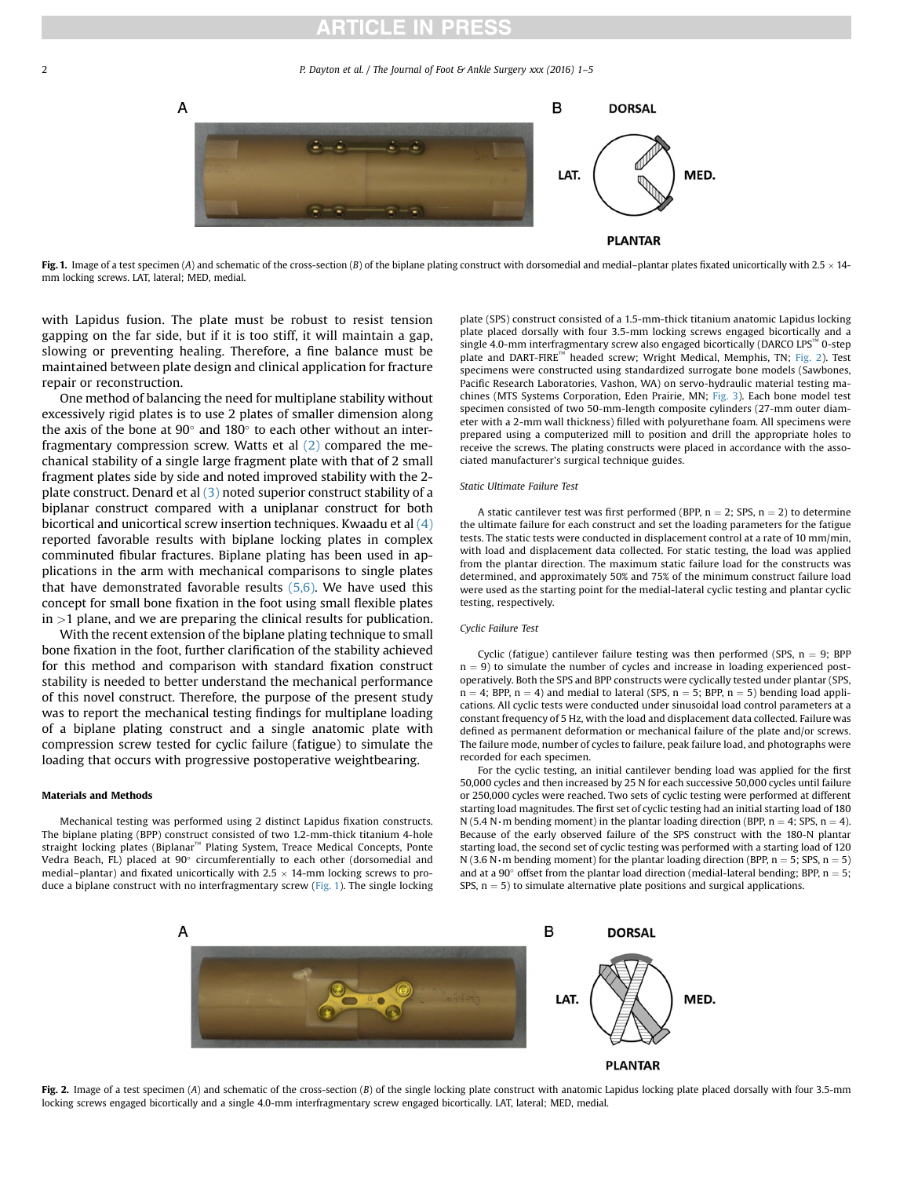## **RTICLE IN PRESS**

2 **P.** Dayton et al. / The Journal of Foot & Ankle Surgery xxx (2016) 1-5



Fig. 1. Image of a test specimen (A) and schematic of the cross-section (B) of the biplane plating construct with dorsomedial and medial-plantar plates fixated unicortically with  $2.5 \times 14$ mm locking screws. LAT, lateral; MED, medial.

with Lapidus fusion. The plate must be robust to resist tension gapping on the far side, but if it is too stiff, it will maintain a gap, slowing or preventing healing. Therefore, a fine balance must be maintained between plate design and clinical application for fracture repair or reconstruction.

One method of balancing the need for multiplane stability without excessively rigid plates is to use 2 plates of smaller dimension along the axis of the bone at  $90^{\circ}$  and  $180^{\circ}$  to each other without an interfragmentary compression screw. Watts et al  $(2)$  compared the mechanical stability of a single large fragment plate with that of 2 small fragment plates side by side and noted improved stability with the 2 plate construct. Denard et al  $(3)$  noted superior construct stability of a biplanar construct compared with a uniplanar construct for both bicortical and unicortical screw insertion techniques. Kwaadu et al  $(4)$ reported favorable results with biplane locking plates in complex comminuted fibular fractures. Biplane plating has been used in applications in the arm with mechanical comparisons to single plates that have demonstrated favorable results  $(5,6)$ . We have used this concept for small bone fixation in the foot using small flexible plates  $in >1$  plane, and we are preparing the clinical results for publication.

With the recent extension of the biplane plating technique to small bone fixation in the foot, further clarification of the stability achieved for this method and comparison with standard fixation construct stability is needed to better understand the mechanical performance of this novel construct. Therefore, the purpose of the present study was to report the mechanical testing findings for multiplane loading of a biplane plating construct and a single anatomic plate with compression screw tested for cyclic failure (fatigue) to simulate the loading that occurs with progressive postoperative weightbearing.

#### Materials and Methods

Mechanical testing was performed using 2 distinct Lapidus fixation constructs. The biplane plating (BPP) construct consisted of two 1.2-mm-thick titanium 4-hole straight locking plates (Biplanar<sup>™</sup> Plating System, Treace Medical Concepts, Ponte Vedra Beach, FL) placed at 90° circumferentially to each other (dorsomedial and medial–plantar) and fixated unicortically with 2.5  $\times$  14-mm locking screws to produce a biplane construct with no interfragmentary screw (Fig. 1). The single locking plate (SPS) construct consisted of a 1.5-mm-thick titanium anatomic Lapidus locking plate placed dorsally with four 3.5-mm locking screws engaged bicortically and a single 4.0-mm interfragmentary screw also engaged bicortically (DARCO LPS $^{\text{m}}$  0-step plate and DART-FIRE<sup> $M$ </sup> headed screw; Wright Medical, Memphis, TN; Fig. 2). Test specimens were constructed using standardized surrogate bone models (Sawbones, Pacific Research Laboratories, Vashon, WA) on servo-hydraulic material testing machines (MTS Systems Corporation, Eden Prairie, MN; [Fig. 3](#page-2-0)). Each bone model test specimen consisted of two 50-mm-length composite cylinders (27-mm outer diameter with a 2-mm wall thickness) filled with polyurethane foam. All specimens were prepared using a computerized mill to position and drill the appropriate holes to receive the screws. The plating constructs were placed in accordance with the associated manufacturer's surgical technique guides.

#### Static Ultimate Failure Test

A static cantilever test was first performed (BPP,  $n = 2$ ; SPS,  $n = 2$ ) to determine the ultimate failure for each construct and set the loading parameters for the fatigue tests. The static tests were conducted in displacement control at a rate of 10 mm/min, with load and displacement data collected. For static testing, the load was applied from the plantar direction. The maximum static failure load for the constructs was determined, and approximately 50% and 75% of the minimum construct failure load were used as the starting point for the medial-lateral cyclic testing and plantar cyclic testing, respectively.

#### Cyclic Failure Test

Cyclic (fatigue) cantilever failure testing was then performed (SPS,  $n = 9$ ; BPP  $n = 9$ ) to simulate the number of cycles and increase in loading experienced postoperatively. Both the SPS and BPP constructs were cyclically tested under plantar (SPS,  $n = 4$ ; BPP,  $n = 4$ ) and medial to lateral (SPS,  $n = 5$ ; BPP,  $n = 5$ ) bending load applications. All cyclic tests were conducted under sinusoidal load control parameters at a constant frequency of 5 Hz, with the load and displacement data collected. Failure was defined as permanent deformation or mechanical failure of the plate and/or screws. The failure mode, number of cycles to failure, peak failure load, and photographs were recorded for each specimen.

For the cyclic testing, an initial cantilever bending load was applied for the first 50,000 cycles and then increased by 25 N for each successive 50,000 cycles until failure or 250,000 cycles were reached. Two sets of cyclic testing were performed at different starting load magnitudes. The first set of cyclic testing had an initial starting load of 180 N (5.4 N⋅m bending moment) in the plantar loading direction (BPP, n = 4; SPS, n = 4). Because of the early observed failure of the SPS construct with the 180-N plantar starting load, the second set of cyclic testing was performed with a starting load of 120 N (3.6 N⋅m bending moment) for the plantar loading direction (BPP, n = 5; SPS, n = 5) and at a 90 $^{\circ}$  offset from the plantar load direction (medial-lateral bending; BPP, n = 5; SPS,  $n = 5$ ) to simulate alternative plate positions and surgical applications.



Fig. 2. Image of a test specimen (A) and schematic of the cross-section (B) of the single locking plate construct with anatomic Lapidus locking plate placed dorsally with four 3.5-mm locking screws engaged bicortically and a single 4.0-mm interfragmentary screw engaged bicortically. LAT, lateral; MED, medial.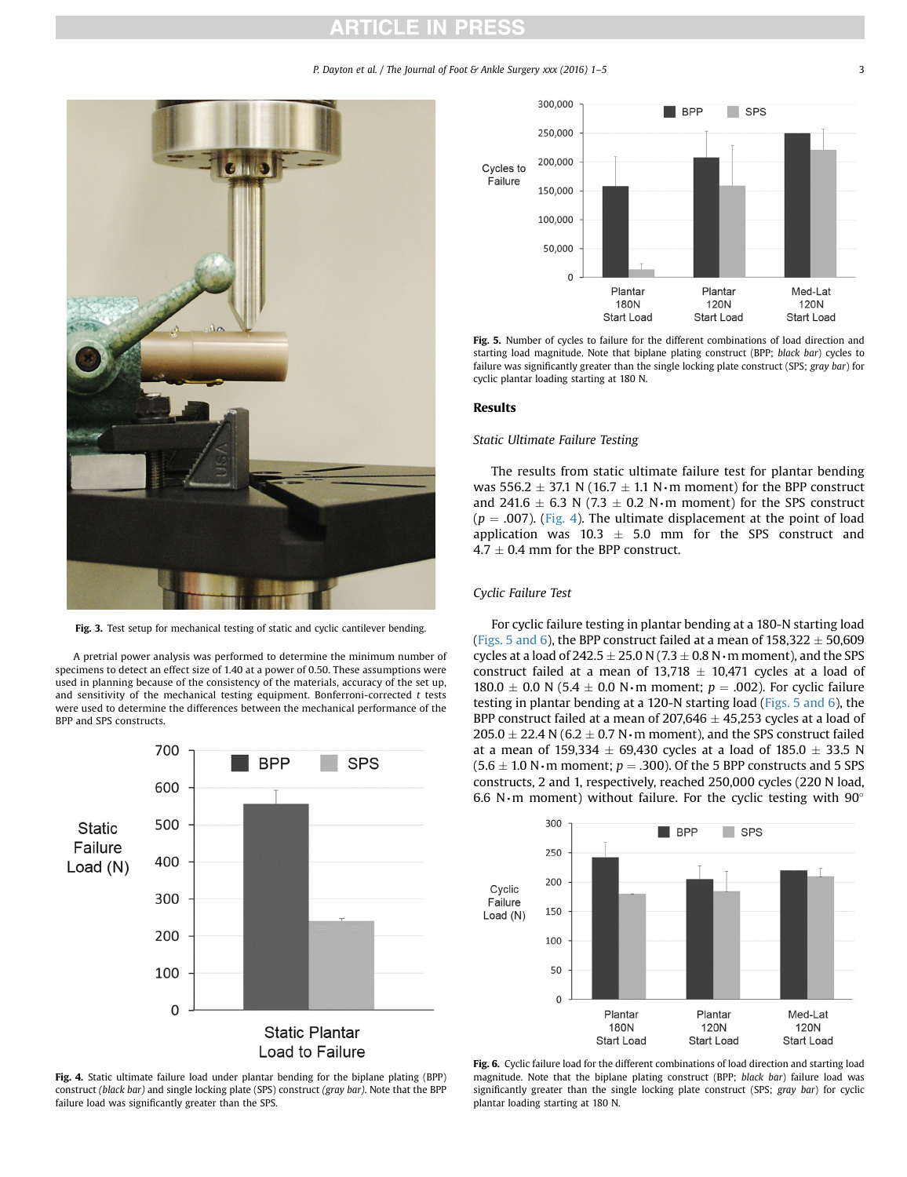# **ARTICLE IN PRESS**

P. Dayton et al. / The Journal of Foot & Ankle Surgery xxx (2016) 1–5 3

<span id="page-2-0"></span>

Fig. 3. Test setup for mechanical testing of static and cyclic cantilever bending.

A pretrial power analysis was performed to determine the minimum number of specimens to detect an effect size of 1.40 at a power of 0.50. These assumptions were used in planning because of the consistency of the materials, accuracy of the set up, and sensitivity of the mechanical testing equipment. Bonferroni-corrected  $t$  tests were used to determine the differences between the mechanical performance of the BPP and SPS constructs.



Fig. 4. Static ultimate failure load under plantar bending for the biplane plating (BPP) construct (black bar) and single locking plate (SPS) construct (gray bar). Note that the BPP failure load was significantly greater than the SPS.



Fig. 5. Number of cycles to failure for the different combinations of load direction and starting load magnitude. Note that biplane plating construct (BPP; black bar) cycles to failure was significantly greater than the single locking plate construct (SPS; gray bar) for cyclic plantar loading starting at 180 N.

#### Results

### Static Ultimate Failure Testing

The results from static ultimate failure test for plantar bending was 556.2  $\pm$  37.1 N (16.7  $\pm$  1.1 N⋅m moment) for the BPP construct and 241.6  $\pm$  6.3 N (7.3  $\pm$  0.2 N⋅m moment) for the SPS construct  $(p = .007)$ . (Fig. 4). The ultimate displacement at the point of load application was 10.3  $\pm$  5.0 mm for the SPS construct and  $4.7 \pm 0.4$  mm for the BPP construct.

## Cyclic Failure Test

For cyclic failure testing in plantar bending at a 180-N starting load (Figs. 5 and 6), the BPP construct failed at a mean of  $158,322 \pm 50,609$ cycles at a load of 242.5  $\pm$  25.0 N (7.3  $\pm$  0.8 N⋅m moment), and the SPS construct failed at a mean of  $13,718 \pm 10,471$  cycles at a load of 180.0 ± 0.0 N (5.4 ± 0.0 N⋅m moment;  $p = .002$ ). For cyclic failure testing in plantar bending at a 120-N starting load (Figs. 5 and 6), the BPP construct failed at a mean of  $207,646 \pm 45,253$  cycles at a load of 205.0  $\pm$  22.4 N (6.2  $\pm$  0.7 N⋅m moment), and the SPS construct failed at a mean of 159,334  $\pm$  69,430 cycles at a load of 185.0  $\pm$  33.5 N  $(5.6 \pm 1.0 \text{ N} \cdot \text{m}$  moment;  $p = .300$ ). Of the 5 BPP constructs and 5 SPS constructs, 2 and 1, respectively, reached 250,000 cycles (220 N load, 6.6 N∙m moment) without failure. For the cyclic testing with 90



Fig. 6. Cyclic failure load for the different combinations of load direction and starting load magnitude. Note that the biplane plating construct (BPP; black bar) failure load was significantly greater than the single locking plate construct (SPS; gray bar) for cyclic plantar loading starting at 180 N.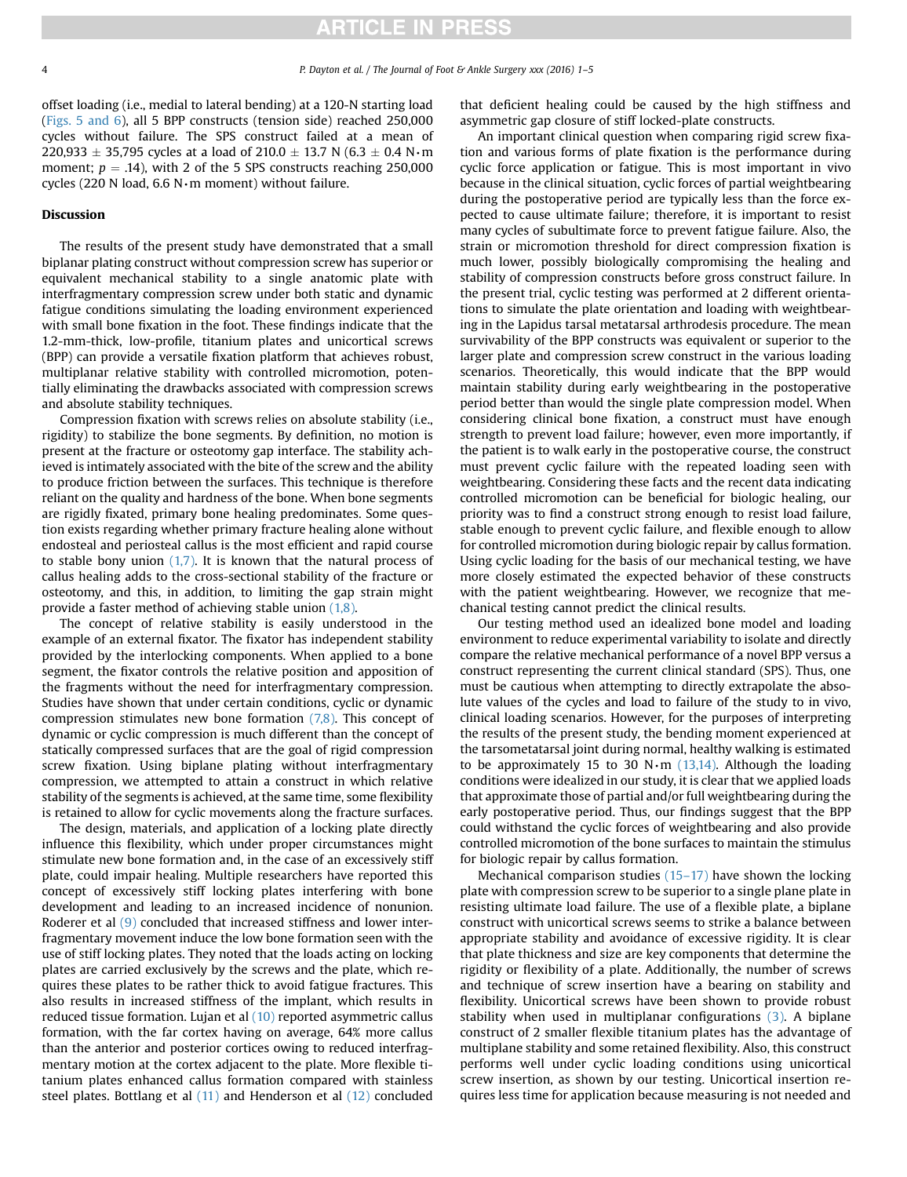offset loading (i.e., medial to lateral bending) at a 120-N starting load ([Figs. 5 and 6\)](#page-2-0), all 5 BPP constructs (tension side) reached 250,000 cycles without failure. The SPS construct failed at a mean of 220,933  $\pm$  35,795 cycles at a load of 210.0  $\pm$  13.7 N (6.3  $\pm$  0.4 N⋅m moment;  $p = .14$ ), with 2 of the 5 SPS constructs reaching 250,000 cycles (220 N load, 6.6 N∙m moment) without failure.

### **Discussion**

The results of the present study have demonstrated that a small biplanar plating construct without compression screw has superior or equivalent mechanical stability to a single anatomic plate with interfragmentary compression screw under both static and dynamic fatigue conditions simulating the loading environment experienced with small bone fixation in the foot. These findings indicate that the 1.2-mm-thick, low-profile, titanium plates and unicortical screws (BPP) can provide a versatile fixation platform that achieves robust, multiplanar relative stability with controlled micromotion, potentially eliminating the drawbacks associated with compression screws and absolute stability techniques.

Compression fixation with screws relies on absolute stability (i.e., rigidity) to stabilize the bone segments. By definition, no motion is present at the fracture or osteotomy gap interface. The stability achieved is intimately associated with the bite of the screw and the ability to produce friction between the surfaces. This technique is therefore reliant on the quality and hardness of the bone. When bone segments are rigidly fixated, primary bone healing predominates. Some question exists regarding whether primary fracture healing alone without endosteal and periosteal callus is the most efficient and rapid course to stable bony union  $(1,7)$ . It is known that the natural process of callus healing adds to the cross-sectional stability of the fracture or osteotomy, and this, in addition, to limiting the gap strain might provide a faster method of achieving stable union [\(1,8\)](#page-4-0).

The concept of relative stability is easily understood in the example of an external fixator. The fixator has independent stability provided by the interlocking components. When applied to a bone segment, the fixator controls the relative position and apposition of the fragments without the need for interfragmentary compression. Studies have shown that under certain conditions, cyclic or dynamic compression stimulates new bone formation  $(7,8)$ . This concept of dynamic or cyclic compression is much different than the concept of statically compressed surfaces that are the goal of rigid compression screw fixation. Using biplane plating without interfragmentary compression, we attempted to attain a construct in which relative stability of the segments is achieved, at the same time, some flexibility is retained to allow for cyclic movements along the fracture surfaces.

The design, materials, and application of a locking plate directly influence this flexibility, which under proper circumstances might stimulate new bone formation and, in the case of an excessively stiff plate, could impair healing. Multiple researchers have reported this concept of excessively stiff locking plates interfering with bone development and leading to an increased incidence of nonunion. Roderer et al [\(9\)](#page-4-0) concluded that increased stiffness and lower interfragmentary movement induce the low bone formation seen with the use of stiff locking plates. They noted that the loads acting on locking plates are carried exclusively by the screws and the plate, which requires these plates to be rather thick to avoid fatigue fractures. This also results in increased stiffness of the implant, which results in reduced tissue formation. Lujan et al [\(10\)](#page-4-0) reported asymmetric callus formation, with the far cortex having on average, 64% more callus than the anterior and posterior cortices owing to reduced interfragmentary motion at the cortex adjacent to the plate. More flexible titanium plates enhanced callus formation compared with stainless steel plates. Bottlang et al  $(11)$  and Henderson et al  $(12)$  concluded

that deficient healing could be caused by the high stiffness and asymmetric gap closure of stiff locked-plate constructs.

An important clinical question when comparing rigid screw fixation and various forms of plate fixation is the performance during cyclic force application or fatigue. This is most important in vivo because in the clinical situation, cyclic forces of partial weightbearing during the postoperative period are typically less than the force expected to cause ultimate failure; therefore, it is important to resist many cycles of subultimate force to prevent fatigue failure. Also, the strain or micromotion threshold for direct compression fixation is much lower, possibly biologically compromising the healing and stability of compression constructs before gross construct failure. In the present trial, cyclic testing was performed at 2 different orientations to simulate the plate orientation and loading with weightbearing in the Lapidus tarsal metatarsal arthrodesis procedure. The mean survivability of the BPP constructs was equivalent or superior to the larger plate and compression screw construct in the various loading scenarios. Theoretically, this would indicate that the BPP would maintain stability during early weightbearing in the postoperative period better than would the single plate compression model. When considering clinical bone fixation, a construct must have enough strength to prevent load failure; however, even more importantly, if the patient is to walk early in the postoperative course, the construct must prevent cyclic failure with the repeated loading seen with weightbearing. Considering these facts and the recent data indicating controlled micromotion can be beneficial for biologic healing, our priority was to find a construct strong enough to resist load failure, stable enough to prevent cyclic failure, and flexible enough to allow for controlled micromotion during biologic repair by callus formation. Using cyclic loading for the basis of our mechanical testing, we have more closely estimated the expected behavior of these constructs with the patient weightbearing. However, we recognize that mechanical testing cannot predict the clinical results.

Our testing method used an idealized bone model and loading environment to reduce experimental variability to isolate and directly compare the relative mechanical performance of a novel BPP versus a construct representing the current clinical standard (SPS). Thus, one must be cautious when attempting to directly extrapolate the absolute values of the cycles and load to failure of the study to in vivo, clinical loading scenarios. However, for the purposes of interpreting the results of the present study, the bending moment experienced at the tarsometatarsal joint during normal, healthy walking is estimated to be approximately 15 to 30 N∙m [\(13,14\)](#page-4-0). Although the loading conditions were idealized in our study, it is clear that we applied loads that approximate those of partial and/or full weightbearing during the early postoperative period. Thus, our findings suggest that the BPP could withstand the cyclic forces of weightbearing and also provide controlled micromotion of the bone surfaces to maintain the stimulus for biologic repair by callus formation.

Mechanical comparison studies [\(15](#page-4-0)–17) have shown the locking plate with compression screw to be superior to a single plane plate in resisting ultimate load failure. The use of a flexible plate, a biplane construct with unicortical screws seems to strike a balance between appropriate stability and avoidance of excessive rigidity. It is clear that plate thickness and size are key components that determine the rigidity or flexibility of a plate. Additionally, the number of screws and technique of screw insertion have a bearing on stability and flexibility. Unicortical screws have been shown to provide robust stability when used in multiplanar configurations [\(3\).](#page-4-0) A biplane construct of 2 smaller flexible titanium plates has the advantage of multiplane stability and some retained flexibility. Also, this construct performs well under cyclic loading conditions using unicortical screw insertion, as shown by our testing. Unicortical insertion requires less time for application because measuring is not needed and